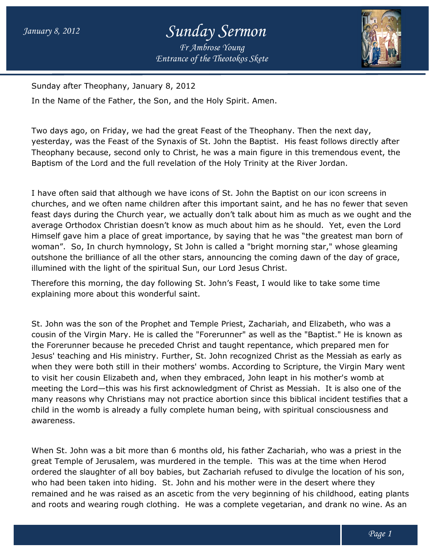## *Entrance of the Theotokos Skete Sunday Sermon Fr Ambrose Young*



Sunday after Theophany, January 8, 2012

In the Name of the Father, the Son, and the Holy Spirit. Amen.

In the Name of the Father, the Son, and the Holy Spirit. Amen.<br>Two days ago, on Friday, we had the great Feast of the Theophany. Then the next day, yesterday, was the Feast of the Synaxis of St. John the Baptist. His feast follows directly after Theophany because, second only to Christ, he was a main figure in this tremendous event, the Baptism of the Lord and the full revelation of the Holy Trinity at the River Jordan.

I have often said that although we have icons of St. John the Baptist on our icon screens in Baptism of the Lord and the full revelation of the Holy Trinity at the River Jordan.<br>I have often said that although we have icons of St. John the Baptist on our icon screens in<br>churches, and we often name children after t feast days during the Church year, we actually don't talk about him as much as we ought and the average Orthodox Christian doesn't know as much about him as he should. feast days during the Church year, we actually don't talk about him as much as we ought and the<br>average Orthodox Christian doesn't know as much about him as he should. Yet, even the Lord<br>Himself gave him a place of great woman". So, In church hymnology, St John is called a "bright morning star," whose gleaming outshone the brilliance of all the other stars, announcing the coming dawn of the day of grace, illumined with the light of the spiritual Sun, our Lord Jesus Christ. So, In church hymnology, St John is called a "bright morning star," whose gleamine the brilliance of all the other stars, announcing the coming dawn of the day of grace with the light of the spiritual Sun, our Lord Jesus C e great Feast of the Theophany. Then the next day,<br>axis of St. John the Baptist. His feast follows directly after<br>Christ, he was a main figure in this tremendous event, the<br>elation of the Holy Trinity at the River Jordan.<br>

Therefore this morning, the day following St. John's Feast, I would like to take some time explaining more about this wonderful saint.

St. John was the son of the Prophet and Temple Priest, Zachariah, and Elizabeth, who was a cousin of the Virgin Mary. He is called the "Forerunner" as well as the "Baptist." He is known as the Forerunner because he preceded Christ and taught repentance, which prepared men for Jesus' teaching and His ministry. Further, St. John recognized Christ as the Messiah as early as when they were both still in their mothers' wombs. According to Scripture, the Virgin Mary went to visit her cousin Elizabeth and, when they embraced, John leapt in his mother's womb at meeting the Lord—this was his first acknowledgment of Christ as Messiah. many reasons why Christians may not practice abortion since this biblical incident testifies that a child in the womb is already a fully complete human being, with spiritual c onsciousness and awareness. when they were both still in their mothers' wombs. According to Scripture, the Virgin Mary<br>to visit her cousin Elizabeth and, when they embraced, John leapt in his mother's womb at<br>meeting the Lord—this was his first ackno nce, by saying that he was "the greatest man born of<br>hn is called a "bright morning star," whose gleaming<br>rs, announcing the coming dawn of the day of grace,<br>n, our Lord Jesus Christ.<br>St. John's Feast, I would like to take

When St. John was a bit more than 6 months old, his father Zachariah, who was a priest in the When St. John was a bit more than 6 months old, his father Zachariah, who was a priest in<br>great Temple of Jerusalem, was murdered in the temple. This was at the time when Herod ordered the slaughter of all boy babies, but Zachariah refused to divulge the location of his son, who had been taken into hiding. St. John and his mother were in the desert where they remained and he was raised as an ascetic from the very beginning of his childhood, eating plants remained and he was raised as an ascetic from the very beginning of his childhood, eating plants<br>and roots and wearing rough clothing. He was a complete vegetarian, and drank no wine. As an abies, but Zachariah refused to divulge the location<br>St. John and his mother were in the desert where th<br>nascetic from the very beginning of his childhood, earing. He was a complete vegetarian, and drank no v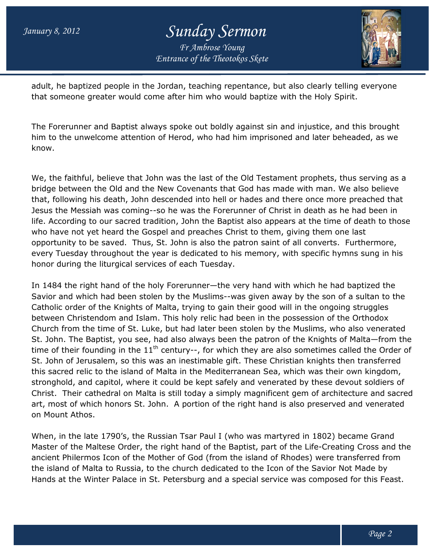## *Entrance of the Theotokos Skete Sunday Sermon Fr Ambrose Young*



adult, he baptized people in the Jordan, teaching repentance, but also clearly telling everyone that someone greater would come after him who would baptize with the Holy Spirit.

The Forerunner and Baptist always spoke out boldly against sin and injustice, and this brought him to the unwelcome attention of Herod, who had him imprisoned and later beheaded, as we know. someone greater would come after him who would baptize with the Holy Spirit.<br>Forerunner and Baptist always spoke out boldly against sin and injustice, and this brought<br>to the unwelcome attention of Herod, who had him impri

We, the faithful, believe that John was the last of the Old Testament prophets, thus serving as a bridge between the Old and the New Covenants that God has made with man. We also believe that, following his death, John descended into hell or hades and there once more preached that bridge between the Old and the New Covenants that God has made with man. We also believe<br>that, following his death, John descended into hell or hades and there once more preached tha<br>Jesus the Messiah was coming--so he was life. According to our sacred tradition, John the Baptist also appears at the time of death to those who have not yet heard the Gospel and preaches Christ to them, giving them one last opportunity to be saved. Thus, St. John is also the patron saint of all converts. every Tuesday throughout the year is dedicated to his memory, with specific hymns sung in his honor during the liturgical services of each Tuesday. sacred tradition, John the Baptist also appears at the time of death to them rd the Gospel and preaches Christ to them, giving them one last ed. Thus, St. John is also the patron saint of all converts. Furthermore, phout t is the last of the Old Testament prophets, thus serving as<br>Covenants that God has made with man. We also believe<br>ded into hell or hades and there once more preached tha<br>was the Forerunner of Christ in death as he had been

In 1484 the right hand of the holy Forerunner—the very hand with which he had baptized the Savior and which had been stolen by the Muslims--was given away by the son of a sultan to the Catholic order of the Knights of Malta, trying to gain their good will in the ongoing struggl between Christendom and Islam. This holy relic had been in the possession of the Orthodox Church from the time of St. Luke, but had later been stolen by the Muslims, who also venerated Church from the time of St. Luke, but had later been stolen by the Muslims, who also venerated<br>St. John. The Baptist, you see, had also always been the patron of the Knights of Malta—from the time of their founding in the  $11<sup>th</sup>$  century--, for which they are also sometimes called the Order of St. John of Jerusalem, so this was an inestimable gift. These Christian knights then transferred this sacred relic to the island of Malta in the Mediterranean Sea, which was their own kingdom, stronghold, and capitol, where it could be kept safely and venerated by these devout soldiers of Christ. Their cathedral on Malta is still today a simply magnificent gem of architecture and art, most of which honors St. John. A portion of the right hand is also preserved and venerated on Mount Athos. founding in the 11<sup>th</sup> century--, for which they are also sometimes called the Order of<br>Jerusalem, so this was an inestimable gift. These Christian knights then transferred<br>relic to the island of Malta in the Mediterranean the very hand with which he had baptized the<br>1s--was given away by the son of a sultan to tł<br>gain their good will in the ongoing struggles

When, in the late 1790's, the Russian Tsar Paul I (who was martyred in 1802) became Grand art, most of which honors St. John. A portion of the right hand is also preserved and venerated<br>on Mount Athos.<br>When, in the late 1790's, the Russian Tsar Paul I (who was martyred in 1802) became Grand<br>Master of the Maltes ancient Philermos Icon of the Mother of God (from the island of Rhodes) were transferred from the island of Malta to Russia, to the church dedicated to the Icon of the Savior Not Made by Hands at the Winter Palace in St. Petersburg and a special service was composed for this Feast. Mother of God (from the island of Rhodes) were transferred<br>to the church dedicated to the Icon of the Savior Not Made l<br>St. Petersburg and a special service was composed for this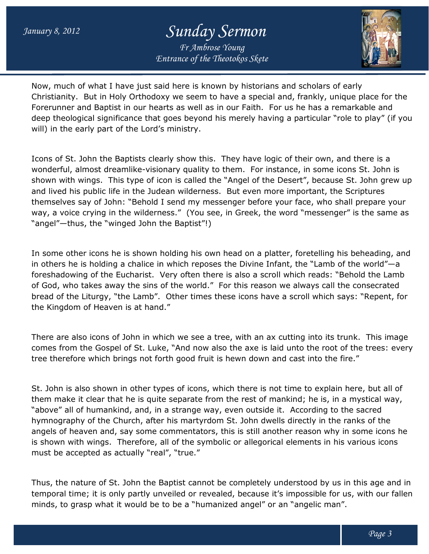## *Sunday Sermon Fr Ambrose Young*

*Entrance of the Theotokos Skete*



Now, much of what I have just said here is known by historians and scholars of early Christianity. But in Holy Orthodoxy we seem to have a special and, frankly, unique p Forerunner and Baptist in our hearts as well as in our Faith. For us he has a remarkable and deep theological significance that goes beyond his merely having a particular "role to play" (if you will) in the early part of the Lord's ministry. deep theological significance that goes beyond his merely having a particular "role to play" (i<br>will) in the early part of the Lord's ministry.<br>Icons of St. John the Baptists clearly show this. They have logic of their own of what I have just said here is known by historians and scholars of early<br>But in Holy Orthodoxy we seem to have a special and, frankly, unique place for<br>and Baptist in our hearts as well as in our Faith. For us he has a r place for the

wonderful, almost dreamlike-visionary quality to them. For instance, in some icons St. John is shown with wings. This type of icon is called the "Angel of the Desert", because St. John grew up and lived his public life in the Judean wilderness. But even more important, the Scriptures themselves say of John: "Behold I send my messenger before your face, who shall prepare your themselves say of John: "Behold I send my messenger before your face, who shall prepare your<br>way, a voice crying in the wilderness." (You see, in Greek, the word "messenger" is the same as "angel"—thus, the "winged John the Baptist"!) as in our Faith. For us he has a remarkable and<br>nd his merely having a particular "role to play" (if you<br>nis. They have logic of their own, and there is a<br>xy to them. For instance, in some icons St. John is<br>if the "Angel o

In some other icons he is shown holding his own head on a platter, foretelling his beheading, and in others he is holding a chalice in which reposes the Divine Infant, the "Lamb of the world" $-a$ foreshadowing of the Eucharist. Very often there is also a scroll which reads: "Behold the Lamb of God, who takes away the sins of the world." For this reason we always call the consecrated bread of the Liturgy, "the Lamb". Other times these icons have a scroll which says: "Repent, for the Kingdom of Heaven is at hand." ngel"—thus, the "winged John the Baptist"!)<br>some other icons he is shown holding his own head on a platter, foretelling his beheading<br>others he is holding a chalice in which reposes the Divine Infant, the "Lamb of the worl we always call the consecrated<br>a scroll which says: "Repent, for<br>cutting into its trunk. This image

There are also icons of John in which we see a tree, with an ax cutting into its trunk. This image There are also icons of John in which we see a tree, with an ax cutting into its trunk. This image<br>comes from the Gospel of St. Luke, "And now also the axe is laid unto the root of the trees: every tree therefore which brings not forth good fruit is hewn down and cast into the fire."

St. John is also shown in other types of icons, which there is not time to explain here, but all of them make it clear that he is quite separate from the rest of mankind; he is, in a mystical way, "above" all of humankind, and, in a strange way, even outside it. According to the sacred hymnography of the Church, after his martyrdom St. John dwells directly in the ranks of the angels of heaven and, say some commentators, this is still another reason why in some icons he is shown with wings. Therefore, all of the symbolic or allegorical elements in his various icons must be accepted as actually "real", "true." e therefore which brings not forth good fruit is hewn down and cast into the fire."<br>John is also shown in other types of icons, which there is not time to explain here, but all<br>m make it clear that he is quite separate fro of heaven and, say some commentators, this is still another reason<br>n with wings. Therefore, all of the symbolic or allegorical elements<br>e accepted as actually "real", "true." nes from the Gospel of St. Luke, "And now also the axe is laid unto the reference which brings not forth good fruit is hewn down and cast into John is also shown in other types of icons, which there is not time to ex m mak

Thus, the nature of St. John the Baptist cannot be completely understood by us in this age and in temporal time; it is only partly unveiled or revealed, because it's impossible for us, with our fallen minds, to grasp what it would be to be a "humanized angel" or an "angelic man". : of St. John the Baptist cannot be completely understood by us in this age and in<br>t is only partly unveiled or revealed, because it's impossible for us, with our fallen<br>what it would be to be a "humanized angel" or an "an